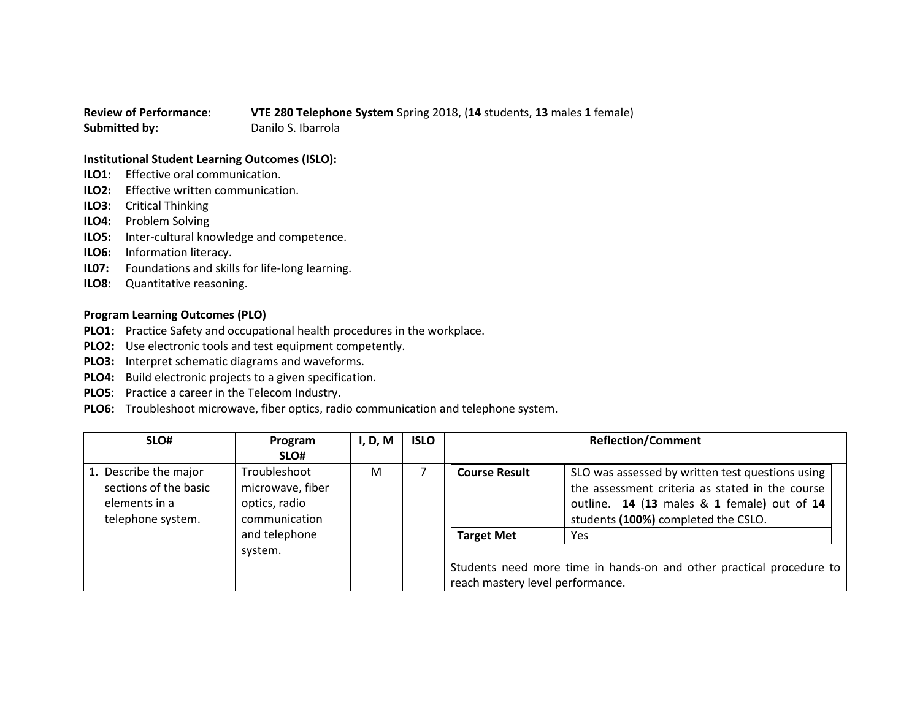## **Review of Performance: VTE 280 Telephone System** Spring 2018, (**14** students, **13** males **1** female) **Submitted by:** Danilo S. Ibarrola

## **Institutional Student Learning Outcomes (ISLO):**

- **ILO1:** Effective oral communication.
- **ILO2:** Effective written communication.
- **ILO3:** Critical Thinking
- **ILO4:** Problem Solving
- **ILO5:** Inter-cultural knowledge and competence.
- **ILO6:** Information literacy.
- **IL07:** Foundations and skills for life-long learning.
- **ILO8:** Quantitative reasoning.

## **Program Learning Outcomes (PLO)**

- **PLO1:** Practice Safety and occupational health procedures in the workplace.
- **PLO2:** Use electronic tools and test equipment competently.
- **PLO3:** Interpret schematic diagrams and waveforms.
- **PLO4:** Build electronic projects to a given specification.
- **PLO5**: Practice a career in the Telecom Industry.
- **PLO6:** Troubleshoot microwave, fiber optics, radio communication and telephone system.

| SLO#                                                                                 | Program<br>SLO#                                                    | I, D, M | <b>ISLO</b> |                                  | <b>Reflection/Comment</b>                                                                                                                                                                 |
|--------------------------------------------------------------------------------------|--------------------------------------------------------------------|---------|-------------|----------------------------------|-------------------------------------------------------------------------------------------------------------------------------------------------------------------------------------------|
| 1. Describe the major<br>sections of the basic<br>elements in a<br>telephone system. | Troubleshoot<br>microwave, fiber<br>optics, radio<br>communication | M       |             | <b>Course Result</b>             | SLO was assessed by written test questions using<br>the assessment criteria as stated in the course<br>outline. 14 (13 males & 1 female) out of 14<br>students (100%) completed the CSLO. |
|                                                                                      | and telephone<br>system.                                           |         |             | <b>Target Met</b>                | Yes                                                                                                                                                                                       |
|                                                                                      |                                                                    |         |             | reach mastery level performance. | Students need more time in hands-on and other practical procedure to                                                                                                                      |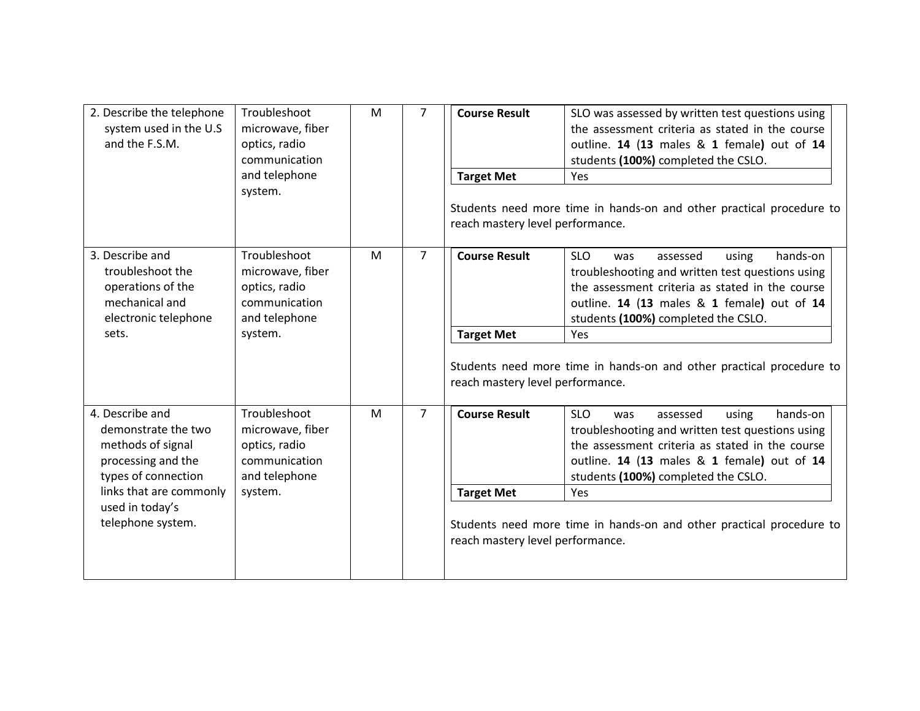| 2. Describe the telephone<br>system used in the U.S<br>and the F.S.M.                                                                                                       | Troubleshoot<br>microwave, fiber<br>optics, radio<br>communication<br>and telephone<br>system. | M | $\overline{7}$ | <b>Course Result</b><br><b>Target Met</b><br>reach mastery level performance. | SLO was assessed by written test questions using<br>the assessment criteria as stated in the course<br>outline. 14 (13 males & 1 female) out of 14<br>students (100%) completed the CSLO.<br>Yes<br>Students need more time in hands-on and other practical procedure to                                                       |
|-----------------------------------------------------------------------------------------------------------------------------------------------------------------------------|------------------------------------------------------------------------------------------------|---|----------------|-------------------------------------------------------------------------------|--------------------------------------------------------------------------------------------------------------------------------------------------------------------------------------------------------------------------------------------------------------------------------------------------------------------------------|
| 3. Describe and<br>troubleshoot the<br>operations of the<br>mechanical and<br>electronic telephone<br>sets.                                                                 | Troubleshoot<br>microwave, fiber<br>optics, radio<br>communication<br>and telephone<br>system. | M | $\overline{7}$ | <b>Course Result</b><br><b>Target Met</b><br>reach mastery level performance. | <b>SLO</b><br>hands-on<br>assessed<br>using<br>was<br>troubleshooting and written test questions using<br>the assessment criteria as stated in the course<br>outline. 14 (13 males & 1 female) out of 14<br>students (100%) completed the CSLO.<br>Yes<br>Students need more time in hands-on and other practical procedure to |
| 4. Describe and<br>demonstrate the two<br>methods of signal<br>processing and the<br>types of connection<br>links that are commonly<br>used in today's<br>telephone system. | Troubleshoot<br>microwave, fiber<br>optics, radio<br>communication<br>and telephone<br>system. | M | $\overline{7}$ | <b>Course Result</b><br><b>Target Met</b><br>reach mastery level performance. | <b>SLO</b><br>hands-on<br>assessed<br>using<br>was<br>troubleshooting and written test questions using<br>the assessment criteria as stated in the course<br>outline. 14 (13 males & 1 female) out of 14<br>students (100%) completed the CSLO.<br>Yes<br>Students need more time in hands-on and other practical procedure to |